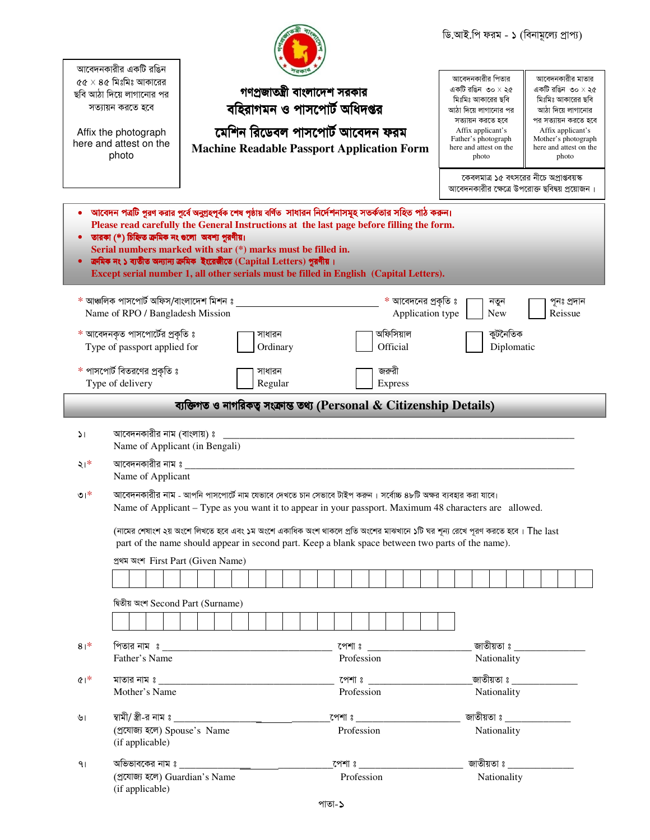|                  |                                                                                                                                                                                                                        |                                                                       |                                                               |          |  |  |  |             |  |                                   |  |                                         |  | ডি.আই.পি ফরম - ১ (বিনামূল্যে প্রাপ্য)          |            |  |                                        |                                               |
|------------------|------------------------------------------------------------------------------------------------------------------------------------------------------------------------------------------------------------------------|-----------------------------------------------------------------------|---------------------------------------------------------------|----------|--|--|--|-------------|--|-----------------------------------|--|-----------------------------------------|--|------------------------------------------------|------------|--|----------------------------------------|-----------------------------------------------|
|                  | আবেদনকারীর একটি রঙিন<br>$c\bar{c}\times s\bar{c}$ মিঃমিঃ আকারের                                                                                                                                                        |                                                                       |                                                               |          |  |  |  |             |  |                                   |  |                                         |  | আবেদনকারীর পিতার                               |            |  | আবেদনকারীর মাতার                       |                                               |
|                  | ছবি আঠা দিয়ে লাগানোর পর                                                                                                                                                                                               |                                                                       | গণপ্রজাতন্ত্রী বাংলাদেশ সরকার<br>বহিরাগমন ও পাসপোর্ট অধিদপ্তর |          |  |  |  |             |  |                                   |  |                                         |  | একটি রঙিন $\circ$ ০ $\times$ ২৫                |            |  |                                        | একটি রঙিন ৩০ $\times$ ২৫                      |
|                  | সত্যায়ন করতে হবে                                                                                                                                                                                                      |                                                                       |                                                               |          |  |  |  |             |  |                                   |  |                                         |  | মিঃমিঃ আকারের ছবি<br>আঠা দিয়ে লাগানোর পর      |            |  | মিঃমিঃ আকারের ছবি<br>আঠা দিয়ে লাগানোর |                                               |
|                  |                                                                                                                                                                                                                        |                                                                       |                                                               |          |  |  |  |             |  |                                   |  |                                         |  | সত্যায়ন করতে হবে                              |            |  |                                        | পর সত্যায়ন করতে হবে                          |
|                  | Affix the photograph                                                                                                                                                                                                   |                                                                       | মেশিন রিডেবল পাসপোর্ট আবেদন ফরম                               |          |  |  |  |             |  |                                   |  |                                         |  | Affix applicant's                              |            |  | Affix applicant's                      |                                               |
|                  | here and attest on the                                                                                                                                                                                                 | <b>Machine Readable Passport Application Form</b>                     |                                                               |          |  |  |  |             |  |                                   |  |                                         |  | Father's photograph<br>here and attest on the  |            |  |                                        | Mother's photograph<br>here and attest on the |
|                  | photo                                                                                                                                                                                                                  |                                                                       |                                                               |          |  |  |  |             |  |                                   |  |                                         |  | photo                                          |            |  | photo                                  |                                               |
|                  |                                                                                                                                                                                                                        |                                                                       |                                                               |          |  |  |  |             |  |                                   |  |                                         |  | কেবলমাত্র ১৫ বৎসরের নীচে অপ্রাপ্তবয়স্ক        |            |  |                                        |                                               |
|                  |                                                                                                                                                                                                                        |                                                                       |                                                               |          |  |  |  |             |  |                                   |  |                                         |  | আবেদনকারীর ক্ষেত্রে উপরোক্ত ছবিদ্বয় প্রয়োজন। |            |  |                                        |                                               |
|                  |                                                                                                                                                                                                                        |                                                                       |                                                               |          |  |  |  |             |  |                                   |  |                                         |  |                                                |            |  |                                        |                                               |
|                  | ্আবেদন পত্রটি পুরণ করার পূর্বে অনুগ্রহপূর্বক শেষ পৃষ্ঠায় বর্ণিত  সাধারন নির্দেশনাসমূহ সতর্কতার সহিত পাঠ করন্ন।                                                                                                        |                                                                       |                                                               |          |  |  |  |             |  |                                   |  |                                         |  |                                                |            |  |                                        |                                               |
|                  | Please read carefully the General Instructions at the last page before filling the form.                                                                                                                               |                                                                       |                                                               |          |  |  |  |             |  |                                   |  |                                         |  |                                                |            |  |                                        |                                               |
| ٠                | তারকা (*) চিহ্নিত ক্রমিক নং গুলো অবশ্য পুরণীয়।<br>Serial numbers marked with star (*) marks must be filled in.                                                                                                        |                                                                       |                                                               |          |  |  |  |             |  |                                   |  |                                         |  |                                                |            |  |                                        |                                               |
| $\bullet$        | ক্রমিক নং ১ ব্যতীত অন্যান্য ক্রমিক ইংরেজীতে (Capital Letters) পুরণীয়।                                                                                                                                                 |                                                                       |                                                               |          |  |  |  |             |  |                                   |  |                                         |  |                                                |            |  |                                        |                                               |
|                  | Except serial number 1, all other serials must be filled in English (Capital Letters).                                                                                                                                 |                                                                       |                                                               |          |  |  |  |             |  |                                   |  |                                         |  |                                                |            |  |                                        |                                               |
|                  |                                                                                                                                                                                                                        |                                                                       |                                                               |          |  |  |  |             |  |                                   |  |                                         |  |                                                |            |  |                                        |                                               |
|                  | * আঞ্চলিক পাসপোর্ট অফিস/বাংলাদেশ মিশন ঃ<br>Name of RPO / Bangladesh Mission                                                                                                                                            |                                                                       |                                                               |          |  |  |  |             |  |                                   |  | * আবেদনের প্রকৃতি ঃ<br>Application type |  | নতুন<br>New                                    |            |  | পূনঃ প্ৰদান<br>Reissue                 |                                               |
|                  | * আবেদনকৃত পাসপোর্টের প্রকৃতি ঃ                                                                                                                                                                                        |                                                                       |                                                               | সাধারন   |  |  |  |             |  | অফিসিয়াল                         |  |                                         |  | কুটনৈতিক                                       |            |  |                                        |                                               |
|                  | Type of passport applied for                                                                                                                                                                                           |                                                                       |                                                               | Ordinary |  |  |  |             |  | Official                          |  |                                         |  |                                                | Diplomatic |  |                                        |                                               |
|                  |                                                                                                                                                                                                                        |                                                                       |                                                               |          |  |  |  |             |  |                                   |  |                                         |  |                                                |            |  |                                        |                                               |
|                  | $*$ পাসপোর্ট বিতরণের প্রকৃতি ঃ                                                                                                                                                                                         |                                                                       |                                                               | সাধারন   |  |  |  |             |  | জরুরী                             |  |                                         |  |                                                |            |  |                                        |                                               |
|                  | Type of delivery                                                                                                                                                                                                       |                                                                       |                                                               | Regular  |  |  |  |             |  | Express                           |  |                                         |  |                                                |            |  |                                        |                                               |
|                  |                                                                                                                                                                                                                        | ব্যক্তিগত ও নাগরিকত্ব সংক্রান্ত তথ্য (Personal & Citizenship Details) |                                                               |          |  |  |  |             |  |                                   |  |                                         |  |                                                |            |  |                                        |                                               |
|                  |                                                                                                                                                                                                                        |                                                                       |                                                               |          |  |  |  |             |  |                                   |  |                                         |  |                                                |            |  |                                        |                                               |
| اذ               | আবেদনকারীর নাম (বাংলায়) ঃ<br>Name of Applicant (in Bengali)                                                                                                                                                           |                                                                       |                                                               |          |  |  |  |             |  |                                   |  |                                         |  |                                                |            |  |                                        |                                               |
| ২।*              | আবেদনকারীর নাম ঃ                                                                                                                                                                                                       |                                                                       |                                                               |          |  |  |  |             |  |                                   |  |                                         |  |                                                |            |  |                                        |                                               |
|                  | Name of Applicant                                                                                                                                                                                                      |                                                                       |                                                               |          |  |  |  |             |  |                                   |  |                                         |  |                                                |            |  |                                        |                                               |
| $\mathfrak{v}^*$ | আবেদনকারীর নাম - আপনি পাসপোর্টে নাম যেভাবে দেখতে চান সেভাবে টাইপ করুন। সর্বোচ্চ ৪৮টি অক্ষর ব্যবহার করা যাবে।<br>Name of Applicant – Type as you want it to appear in your passport. Maximum 48 characters are allowed. |                                                                       |                                                               |          |  |  |  |             |  |                                   |  |                                         |  |                                                |            |  |                                        |                                               |
|                  | (নামের শেষাংশ ২য় অংশে লিখতে হবে এবং ১ম অংশে একাধিক অংশ থাকলে প্রতি অংশের মাঝখানে ১টি ঘর শূন্য রেখে পূরণ করতে হবে। The last                                                                                            |                                                                       |                                                               |          |  |  |  |             |  |                                   |  |                                         |  |                                                |            |  |                                        |                                               |
|                  | part of the name should appear in second part. Keep a blank space between two parts of the name).                                                                                                                      |                                                                       |                                                               |          |  |  |  |             |  |                                   |  |                                         |  |                                                |            |  |                                        |                                               |
|                  | প্ৰথম অংশ First Part (Given Name)                                                                                                                                                                                      |                                                                       |                                                               |          |  |  |  |             |  |                                   |  |                                         |  |                                                |            |  |                                        |                                               |
|                  |                                                                                                                                                                                                                        |                                                                       |                                                               |          |  |  |  |             |  |                                   |  |                                         |  |                                                |            |  |                                        |                                               |
|                  |                                                                                                                                                                                                                        |                                                                       |                                                               |          |  |  |  |             |  |                                   |  |                                         |  |                                                |            |  |                                        |                                               |
|                  | দ্বিতীয় অংশ Second Part (Surname)                                                                                                                                                                                     |                                                                       |                                                               |          |  |  |  |             |  |                                   |  |                                         |  |                                                |            |  |                                        |                                               |
|                  |                                                                                                                                                                                                                        |                                                                       |                                                               |          |  |  |  |             |  |                                   |  |                                         |  |                                                |            |  |                                        |                                               |
|                  |                                                                                                                                                                                                                        |                                                                       |                                                               |          |  |  |  |             |  |                                   |  |                                         |  |                                                |            |  |                                        |                                               |
| $8+$             |                                                                                                                                                                                                                        |                                                                       |                                                               |          |  |  |  |             |  |                                   |  |                                         |  | <sub>.</sub> জাতীয়তা ঃ _____________          |            |  |                                        |                                               |
|                  | Father's Name<br>Profession                                                                                                                                                                                            |                                                                       |                                                               |          |  |  |  |             |  | Nationality                       |  |                                         |  |                                                |            |  |                                        |                                               |
|                  |                                                                                                                                                                                                                        |                                                                       |                                                               |          |  |  |  |             |  |                                   |  |                                         |  |                                                |            |  |                                        |                                               |
| $R^*$            | <u>পেশাঃ ____________________</u>                                                                                                                                                                                      |                                                                       |                                                               |          |  |  |  |             |  |                                   |  |                                         |  |                                                |            |  |                                        |                                               |
|                  | Mother's Name                                                                                                                                                                                                          |                                                                       |                                                               |          |  |  |  | Profession  |  |                                   |  |                                         |  | Nationality                                    |            |  |                                        |                                               |
|                  |                                                                                                                                                                                                                        |                                                                       |                                                               |          |  |  |  |             |  |                                   |  |                                         |  |                                                |            |  |                                        |                                               |
| ৬।               |                                                                                                                                                                                                                        |                                                                       |                                                               |          |  |  |  |             |  | <u>জাতীয়তা ঃ _______________</u> |  |                                         |  |                                                |            |  |                                        |                                               |
|                  | (প্ৰযোজ্য হলে) Spouse's Name<br>Profession<br>(if applicable)                                                                                                                                                          |                                                                       |                                                               |          |  |  |  | Nationality |  |                                   |  |                                         |  |                                                |            |  |                                        |                                               |
|                  |                                                                                                                                                                                                                        |                                                                       |                                                               |          |  |  |  |             |  |                                   |  |                                         |  |                                                |            |  |                                        |                                               |
| 91               | <u>পেশা ঃ __________________________</u>                                                                                                                                                                               |                                                                       |                                                               |          |  |  |  |             |  | <u>জাতীয়তা ঃ ____________</u>    |  |                                         |  |                                                |            |  |                                        |                                               |
|                  |                                                                                                                                                                                                                        |                                                                       |                                                               |          |  |  |  |             |  |                                   |  |                                         |  |                                                |            |  |                                        |                                               |
|                  | (প্ৰযোজ্য হলে) Guardian's Name<br>(if applicable)                                                                                                                                                                      |                                                                       |                                                               |          |  |  |  | Profession  |  |                                   |  |                                         |  | Nationality                                    |            |  |                                        |                                               |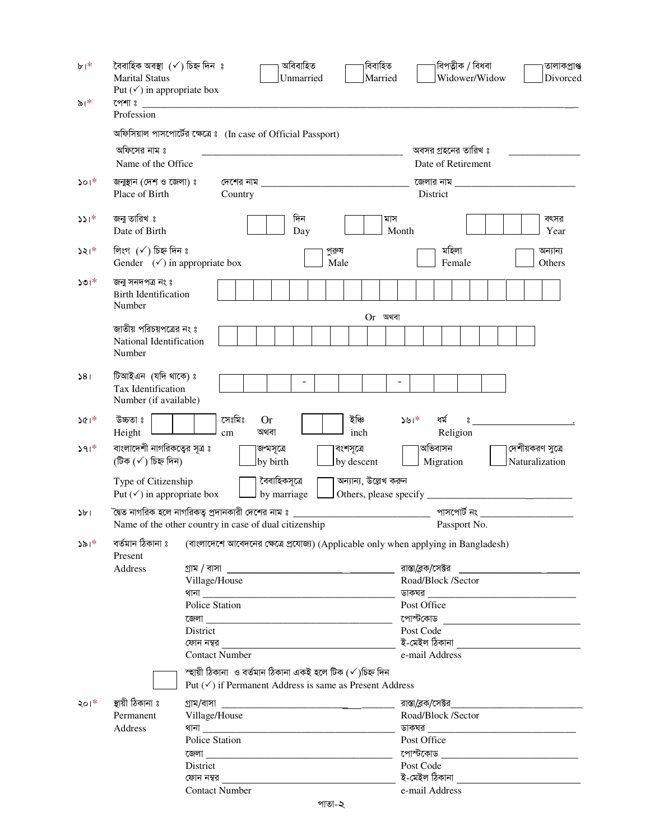| $b^{\dagger}$          | বৈবাহিক অবস্থা (√) চিহ্ন দিন ঃ<br><b>Marital Status</b><br>Put $(\checkmark)$ in appropriate box | অবিবাহিত<br>Unmarried                                                               | বিবাহিত<br>Married    | বিপত্নীক / বিধবা<br>Widower/Widow                                                                   | তালাকপ্ৰাপ্ত<br>Divorced |  |  |  |  |  |  |
|------------------------|--------------------------------------------------------------------------------------------------|-------------------------------------------------------------------------------------|-----------------------|-----------------------------------------------------------------------------------------------------|--------------------------|--|--|--|--|--|--|
| $\delta$  *            | পেশা ঃ                                                                                           |                                                                                     |                       |                                                                                                     |                          |  |  |  |  |  |  |
|                        | Profession                                                                                       |                                                                                     |                       |                                                                                                     |                          |  |  |  |  |  |  |
|                        | অফিসিয়াল পাসপোর্টের ক্ষেত্রে ঃ (In case of Official Passport)                                   |                                                                                     |                       |                                                                                                     |                          |  |  |  |  |  |  |
|                        | অফিসের নাম ঃ                                                                                     |                                                                                     |                       | অবসর গ্রহনের তারিখ ঃ                                                                                |                          |  |  |  |  |  |  |
|                        | Name of the Office                                                                               |                                                                                     |                       | Date of Retirement                                                                                  |                          |  |  |  |  |  |  |
| $\mathcal{S}^{\alpha}$ | জনুস্থান (দেশ ও জেলা) ঃ                                                                          | দেশের নাম                                                                           |                       | জেলার নাম                                                                                           |                          |  |  |  |  |  |  |
|                        | Place of Birth                                                                                   | Country                                                                             |                       | District                                                                                            |                          |  |  |  |  |  |  |
| $331*$                 | জনাু তারিখ ঃ                                                                                     | দিন                                                                                 | মাস                   |                                                                                                     | বৎসর                     |  |  |  |  |  |  |
|                        | Date of Birth                                                                                    | Day                                                                                 | Month                 |                                                                                                     | Year                     |  |  |  |  |  |  |
| $321*$                 | লিংগ $(\checkmark)$ চিহ্ন দিন ঃ                                                                  | পুরুষ                                                                               |                       | মহিলা                                                                                               | অন্যান্য                 |  |  |  |  |  |  |
|                        | Gender $(\checkmark)$ in appropriate box                                                         | Male                                                                                |                       | Female<br>Others                                                                                    |                          |  |  |  |  |  |  |
| $301*$                 | জনা সনদপত্ৰ নং ঃ                                                                                 |                                                                                     |                       |                                                                                                     |                          |  |  |  |  |  |  |
|                        | <b>Birth Identification</b>                                                                      |                                                                                     |                       |                                                                                                     |                          |  |  |  |  |  |  |
|                        | Number                                                                                           |                                                                                     |                       |                                                                                                     |                          |  |  |  |  |  |  |
|                        | জাতীয় পরিচয়পত্রের নং ঃ                                                                         |                                                                                     | $Or$ অথবা             |                                                                                                     |                          |  |  |  |  |  |  |
|                        | National Identification                                                                          |                                                                                     |                       |                                                                                                     |                          |  |  |  |  |  |  |
|                        | Number                                                                                           |                                                                                     |                       |                                                                                                     |                          |  |  |  |  |  |  |
| 381                    | টিআইএন (যদি থাকে) ঃ                                                                              |                                                                                     |                       |                                                                                                     |                          |  |  |  |  |  |  |
|                        | Tax Identification                                                                               |                                                                                     |                       |                                                                                                     |                          |  |  |  |  |  |  |
|                        | Number (if available)                                                                            |                                                                                     |                       |                                                                                                     |                          |  |  |  |  |  |  |
| $361*$                 | সেঃমিঃ<br>উচ্চতা ঃ                                                                               | <b>Or</b>                                                                           | ইঞ্চি                 | ধৰ্ম<br>$391*$<br>$\tilde{a}$                                                                       |                          |  |  |  |  |  |  |
|                        | Height<br>cm                                                                                     | অথবা                                                                                | inch                  | Religion                                                                                            |                          |  |  |  |  |  |  |
| $391*$                 | বাংলাদেশী নাগরিকত্বের সূত্র ঃ                                                                    | জন্মসূত্রে                                                                          | বংশসূত্রে             | অভিবাসন                                                                                             | দেশীয়করণ সুত্রে         |  |  |  |  |  |  |
|                        | (টিক (√) চিহ্ন দিন)                                                                              | by birth                                                                            | by descent            | Migration                                                                                           | Naturalization           |  |  |  |  |  |  |
|                        | Type of Citizenship                                                                              | বৈবাহিকসূত্ৰে                                                                       | অন্যান্য, উল্লেখ করুন |                                                                                                     |                          |  |  |  |  |  |  |
|                        | Put $(\checkmark)$ in appropriate box                                                            | by marriage                                                                         |                       |                                                                                                     |                          |  |  |  |  |  |  |
| $\frac{1}{2}$          | `দ্বৈত নাগরিক হলে নাগরিকতু প্রদানকারী দেশের নাম ঃ                                                |                                                                                     |                       | পাসপোর্ট নং                                                                                         |                          |  |  |  |  |  |  |
|                        | Name of the other country in case of dual citizenship                                            |                                                                                     |                       | Passport No.                                                                                        |                          |  |  |  |  |  |  |
| $\lambda \delta  ^*$   | বৰ্তমান ঠিকানা ঃ                                                                                 | (বাংলাদেশে আবেদনের ক্ষেত্রে প্রযোজ্য) (Applicable only when applying in Bangladesh) |                       |                                                                                                     |                          |  |  |  |  |  |  |
|                        | Present                                                                                          |                                                                                     |                       |                                                                                                     |                          |  |  |  |  |  |  |
|                        | Address                                                                                          |                                                                                     |                       | রাস্তা/ব্লক/সেক্টর                                                                                  |                          |  |  |  |  |  |  |
|                        | Village/House                                                                                    |                                                                                     |                       | Road/Block /Sector                                                                                  |                          |  |  |  |  |  |  |
|                        |                                                                                                  |                                                                                     |                       | <u> ডাকঘর _________________________________</u>                                                     |                          |  |  |  |  |  |  |
|                        | Police Station                                                                                   |                                                                                     |                       | Post Office                                                                                         |                          |  |  |  |  |  |  |
|                        | District                                                                                         |                                                                                     |                       | পোস্টকোড <u>_________________________</u><br>Post Code                                              |                          |  |  |  |  |  |  |
|                        |                                                                                                  |                                                                                     |                       | ই-মেইল ঠিকানা ____________________________                                                          |                          |  |  |  |  |  |  |
|                        | <b>Contact Number</b>                                                                            |                                                                                     |                       | e-mail Address                                                                                      |                          |  |  |  |  |  |  |
|                        |                                                                                                  | স্ছায়ী ঠিকানা  ও বৰ্তমান ঠিকানা একই হলে টিক (√)চিহ্ন দিন                           |                       |                                                                                                     |                          |  |  |  |  |  |  |
|                        |                                                                                                  | Put $(\checkmark)$ if Permanent Address is same as Present Address                  |                       |                                                                                                     |                          |  |  |  |  |  |  |
| ২০। $*$                | স্থায়ী ঠিকানা ঃ                                                                                 |                                                                                     |                       | রাস্তা/ব্লক/সেক্টর সামের সামের সামের সামের সামের সামের সামের সামের সামের সামের সামের সামের সামের সা |                          |  |  |  |  |  |  |
|                        | Permanent<br>Village/House                                                                       |                                                                                     | Road/Block /Sector    |                                                                                                     |                          |  |  |  |  |  |  |
|                        | Address                                                                                          |                                                                                     |                       |                                                                                                     |                          |  |  |  |  |  |  |
|                        | Police Station                                                                                   |                                                                                     |                       | Post Office                                                                                         |                          |  |  |  |  |  |  |
|                        | District                                                                                         |                                                                                     |                       | Post Code                                                                                           |                          |  |  |  |  |  |  |
|                        |                                                                                                  |                                                                                     |                       | ই-মেইল ঠিকানা _________________________________                                                     |                          |  |  |  |  |  |  |
|                        | <b>Contact Number</b>                                                                            |                                                                                     |                       | e-mail Address                                                                                      |                          |  |  |  |  |  |  |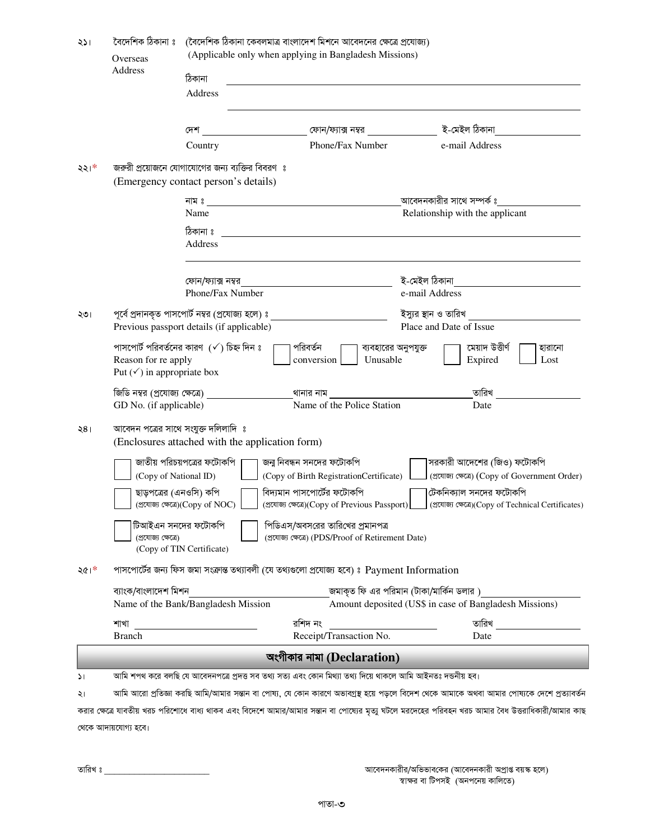| ২১।           | বৈদেশিক ঠিকানা ঃ                                                                                                      | (বৈদেশিক ঠিকানা কেবলমাত্র বাংলাদেশ মিশনে আবেদনের ক্ষেত্রে প্রযোজ্য)                                                                       |                                                                                                                                                                                                                                      |                                                                                                                                                   |  |  |  |  |  |  |  |
|---------------|-----------------------------------------------------------------------------------------------------------------------|-------------------------------------------------------------------------------------------------------------------------------------------|--------------------------------------------------------------------------------------------------------------------------------------------------------------------------------------------------------------------------------------|---------------------------------------------------------------------------------------------------------------------------------------------------|--|--|--|--|--|--|--|
|               | Overseas<br><b>Address</b>                                                                                            | (Applicable only when applying in Bangladesh Missions)                                                                                    |                                                                                                                                                                                                                                      |                                                                                                                                                   |  |  |  |  |  |  |  |
|               |                                                                                                                       | ঠিকানা                                                                                                                                    | <u>and the state of the state of the state of the state of the state of the state of the state of the state of the state of the state of the state of the state of the state of the state of the state of the state of the state</u> |                                                                                                                                                   |  |  |  |  |  |  |  |
|               |                                                                                                                       | <b>Address</b>                                                                                                                            |                                                                                                                                                                                                                                      |                                                                                                                                                   |  |  |  |  |  |  |  |
|               |                                                                                                                       |                                                                                                                                           |                                                                                                                                                                                                                                      |                                                                                                                                                   |  |  |  |  |  |  |  |
|               |                                                                                                                       | দেশ                                                                                                                                       | ফোন/ফ্যাক্স নম্বর                                                                                                                                                                                                                    | ই-মেইল ঠিকানা                                                                                                                                     |  |  |  |  |  |  |  |
|               |                                                                                                                       | Country                                                                                                                                   | Phone/Fax Number                                                                                                                                                                                                                     | e-mail Address                                                                                                                                    |  |  |  |  |  |  |  |
| $221*$        |                                                                                                                       | জরুরী প্রয়োজনে যোগাযোগের জন্য ব্যক্তির বিবরণ ঃ                                                                                           |                                                                                                                                                                                                                                      |                                                                                                                                                   |  |  |  |  |  |  |  |
|               |                                                                                                                       | (Emergency contact person's details)                                                                                                      |                                                                                                                                                                                                                                      |                                                                                                                                                   |  |  |  |  |  |  |  |
|               |                                                                                                                       | নাম ঃ $\overline{\phantom{a}}$                                                                                                            |                                                                                                                                                                                                                                      | আবেদনকারীর সাথে সম্পর্ক ঃ                                                                                                                         |  |  |  |  |  |  |  |
|               |                                                                                                                       | Name                                                                                                                                      |                                                                                                                                                                                                                                      | Relationship with the applicant                                                                                                                   |  |  |  |  |  |  |  |
|               |                                                                                                                       | ঠিকানা ঃ<br>Address                                                                                                                       |                                                                                                                                                                                                                                      |                                                                                                                                                   |  |  |  |  |  |  |  |
|               |                                                                                                                       |                                                                                                                                           |                                                                                                                                                                                                                                      |                                                                                                                                                   |  |  |  |  |  |  |  |
|               |                                                                                                                       | ফোন/ফ্যাক্স নম্বর                                                                                                                         |                                                                                                                                                                                                                                      | ই-মেইল ঠিকানা                                                                                                                                     |  |  |  |  |  |  |  |
|               |                                                                                                                       | Phone/Fax Number                                                                                                                          |                                                                                                                                                                                                                                      | e-mail Address                                                                                                                                    |  |  |  |  |  |  |  |
| ২৩।           |                                                                                                                       | পূর্বে প্রদানকৃত পাসপোর্ট নম্বর (প্রযোজ্য হলে) ঃ _______________________________                                                          |                                                                                                                                                                                                                                      | ইস্যুর স্থান ও তারিখ                                                                                                                              |  |  |  |  |  |  |  |
|               |                                                                                                                       | Previous passport details (if applicable)                                                                                                 | Place and Date of Issue                                                                                                                                                                                                              |                                                                                                                                                   |  |  |  |  |  |  |  |
|               | পরিবর্তন<br>পাসপোর্ট পরিবর্তনের কারণ $({\checkmark})$ চিহ্ন দিন ঃ<br>মেয়াদ উত্তীৰ্ণ<br>ব্যবহারের অনুপযুক্ত<br>হারানো |                                                                                                                                           |                                                                                                                                                                                                                                      |                                                                                                                                                   |  |  |  |  |  |  |  |
|               | Reason for re apply                                                                                                   | Unusable<br>Lost<br>conversion<br>Expired                                                                                                 |                                                                                                                                                                                                                                      |                                                                                                                                                   |  |  |  |  |  |  |  |
|               | Put $(\checkmark)$ in appropriate box                                                                                 |                                                                                                                                           |                                                                                                                                                                                                                                      |                                                                                                                                                   |  |  |  |  |  |  |  |
|               | জিডি নম্বর (প্রযোজ্য ক্ষেত্রে)                                                                                        |                                                                                                                                           | থানার নাম                                                                                                                                                                                                                            | তারিখ                                                                                                                                             |  |  |  |  |  |  |  |
|               | GD No. (if applicable)                                                                                                |                                                                                                                                           | Name of the Police Station                                                                                                                                                                                                           | Date                                                                                                                                              |  |  |  |  |  |  |  |
| 281           |                                                                                                                       | আবেদন পত্রের সাথে সংযুক্ত দলিলাদি ঃ                                                                                                       |                                                                                                                                                                                                                                      |                                                                                                                                                   |  |  |  |  |  |  |  |
|               |                                                                                                                       | (Enclosures attached with the application form)                                                                                           |                                                                                                                                                                                                                                      |                                                                                                                                                   |  |  |  |  |  |  |  |
|               |                                                                                                                       | জাতীয় পরিচয়পত্রের ফটোকপি                                                                                                                | জনু নিবন্ধন সনদের ফটোকপি                                                                                                                                                                                                             | সরকারী আদেশের (জিও) ফটোকপি                                                                                                                        |  |  |  |  |  |  |  |
|               | (Copy of National ID)                                                                                                 |                                                                                                                                           | (Copy of Birth RegistrationCertificate)                                                                                                                                                                                              | (প্ৰযোজ্য ক্ষেত্ৰে) (Copy of Government Order)                                                                                                    |  |  |  |  |  |  |  |
|               | ছাড়পত্রের (এনওসি) কপি                                                                                                |                                                                                                                                           | বিদ্যমান পাসপোর্টের ফটোকপি                                                                                                                                                                                                           | টেকনিক্যাল সনদের ফটোকপি                                                                                                                           |  |  |  |  |  |  |  |
|               |                                                                                                                       | (প্ৰযোজ্য ক্ষেত্ৰে)(Copy of NOC)<br>(প্ৰযোজ্য ক্ষেত্ৰে)(Copy of Previous Passport)<br>(প্ৰযোজ্য ক্ষেত্ৰে)(Copy of Technical Certificates) |                                                                                                                                                                                                                                      |                                                                                                                                                   |  |  |  |  |  |  |  |
|               |                                                                                                                       | পিডিএস/অবসরের তারিখের প্রমানপত্র<br>টিআইএন সনদের ফটোকপি                                                                                   |                                                                                                                                                                                                                                      |                                                                                                                                                   |  |  |  |  |  |  |  |
|               | (প্ৰযোজ্য ক্ষেত্ৰে)                                                                                                   |                                                                                                                                           | (প্ৰযোজ্য ক্ষেত্ৰে) (PDS/Proof of Retirement Date)                                                                                                                                                                                   |                                                                                                                                                   |  |  |  |  |  |  |  |
|               |                                                                                                                       | (Copy of TIN Certificate)                                                                                                                 |                                                                                                                                                                                                                                      |                                                                                                                                                   |  |  |  |  |  |  |  |
| ২৫।*          | পাসপোর্টের জন্য ফিস জমা সংক্রান্ত তথ্যাবলী (যে তথ্যগুলো প্রযোজ্য হবে) ঃ Payment Information                           |                                                                                                                                           |                                                                                                                                                                                                                                      |                                                                                                                                                   |  |  |  |  |  |  |  |
|               | ব্যাংক/বাংলাদেশ মিশন                                                                                                  |                                                                                                                                           |                                                                                                                                                                                                                                      | জমাকৃত ফি এর পরিমান (টাকা/মার্কিন ডলার )                                                                                                          |  |  |  |  |  |  |  |
|               |                                                                                                                       | Name of the Bank/Bangladesh Mission                                                                                                       |                                                                                                                                                                                                                                      | Amount deposited (US\$ in case of Bangladesh Missions)                                                                                            |  |  |  |  |  |  |  |
|               | শাখা                                                                                                                  |                                                                                                                                           | রশিদ নং                                                                                                                                                                                                                              | তারিখ                                                                                                                                             |  |  |  |  |  |  |  |
|               | <b>Branch</b>                                                                                                         |                                                                                                                                           | Receipt/Transaction No.                                                                                                                                                                                                              | Date                                                                                                                                              |  |  |  |  |  |  |  |
|               |                                                                                                                       |                                                                                                                                           | অংগীকার নামা (Declaration)                                                                                                                                                                                                           |                                                                                                                                                   |  |  |  |  |  |  |  |
| $\mathcal{L}$ |                                                                                                                       | আমি শপথ করে বলছি যে আবেদনপত্রে প্রদত্ত সব তথ্য সত্য এবং কোন মিথ্যা তথ্য দিয়ে থাকলে আমি আইনতঃ দন্ডনীয় হব।                                |                                                                                                                                                                                                                                      |                                                                                                                                                   |  |  |  |  |  |  |  |
| ২।            |                                                                                                                       |                                                                                                                                           |                                                                                                                                                                                                                                      | আমি আরো প্রতিজ্ঞা করছি আমি/আমার সন্তান বা পোষ্য, যে কোন কারণে অভাবগ্রস্থ হয়ে পড়লে বিদেশ থেকে আমাকে অথবা আমার পোষ্যকে দেশে প্রত্যাবর্তন          |  |  |  |  |  |  |  |
|               |                                                                                                                       |                                                                                                                                           |                                                                                                                                                                                                                                      | করার ক্ষেত্রে যাবতীয় খরচ পরিশোধে বাধ্য থাকব এবং বিদেশে আমার/আমার সম্ভান বা পোষ্যের মৃত্যু ঘটলে মরদেহের পরিবহন খরচ আমার বৈধ উত্তরাধিকারী/আমার কাছ |  |  |  |  |  |  |  |
|               | থেকে আদায়যোগ্য হবে।                                                                                                  |                                                                                                                                           |                                                                                                                                                                                                                                      |                                                                                                                                                   |  |  |  |  |  |  |  |

তারিখ ঃ \_\_\_\_\_\_

আবেদনকারীর/অভিভাবকের (আবেদনকারী অপ্রাপ্ত বয়স্ক হলে)<br>স্বাক্ষর বা টিপসই (অনপনেয় কালিতে)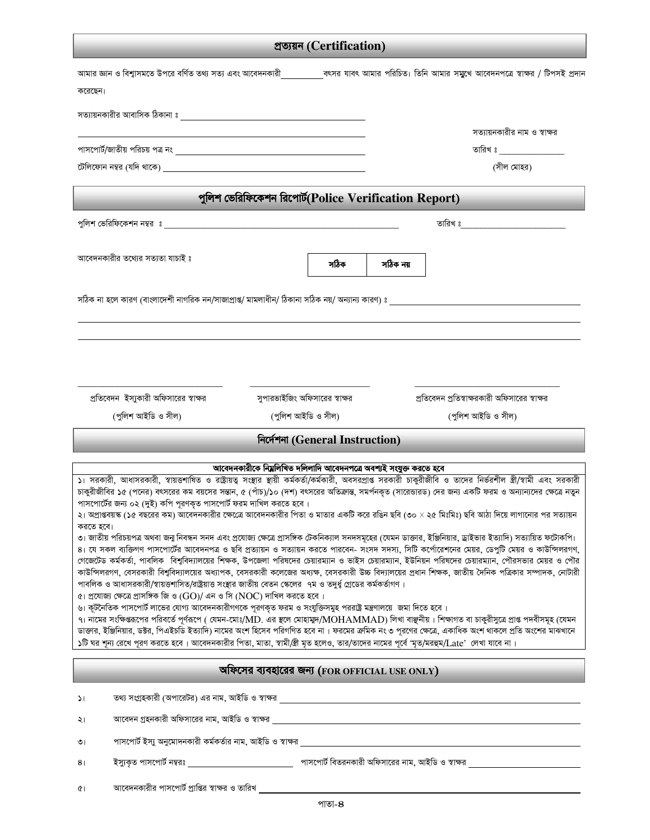## প্ৰত্যয়ন (Certification)

| করেছেন।                                                                                                                                                                                                                                                                                                                                                                                                                                                                                                                                                                                                                                                                                                                                                    |                                                            |                                |          |                                               | আমার জ্ঞান ও বিশ্বাসমতে উপরে বর্ণিত তথ্য সত্য এবং আবেদনকারী সাবেং সাবেং আমার পরিচিত। তিনি আমার সমুখে আবেদনপত্রে স্বাক্ষর / টিপসই প্রদান |  |  |  |  |
|------------------------------------------------------------------------------------------------------------------------------------------------------------------------------------------------------------------------------------------------------------------------------------------------------------------------------------------------------------------------------------------------------------------------------------------------------------------------------------------------------------------------------------------------------------------------------------------------------------------------------------------------------------------------------------------------------------------------------------------------------------|------------------------------------------------------------|--------------------------------|----------|-----------------------------------------------|-----------------------------------------------------------------------------------------------------------------------------------------|--|--|--|--|
|                                                                                                                                                                                                                                                                                                                                                                                                                                                                                                                                                                                                                                                                                                                                                            | সত্যায়নকারীর আবাসিক ঠিকানা ঃ                              |                                |          |                                               |                                                                                                                                         |  |  |  |  |
|                                                                                                                                                                                                                                                                                                                                                                                                                                                                                                                                                                                                                                                                                                                                                            |                                                            |                                |          |                                               | সত্যায়নকারীর নাম ও স্বাক্ষর                                                                                                            |  |  |  |  |
|                                                                                                                                                                                                                                                                                                                                                                                                                                                                                                                                                                                                                                                                                                                                                            |                                                            |                                |          |                                               |                                                                                                                                         |  |  |  |  |
|                                                                                                                                                                                                                                                                                                                                                                                                                                                                                                                                                                                                                                                                                                                                                            |                                                            |                                |          | (সীল মোহর)                                    |                                                                                                                                         |  |  |  |  |
| পুলিশ ভেরিফিকেশন রিপোর্ট(Police Verification Report)                                                                                                                                                                                                                                                                                                                                                                                                                                                                                                                                                                                                                                                                                                       |                                                            |                                |          |                                               |                                                                                                                                         |  |  |  |  |
|                                                                                                                                                                                                                                                                                                                                                                                                                                                                                                                                                                                                                                                                                                                                                            |                                                            |                                |          |                                               |                                                                                                                                         |  |  |  |  |
| আবেদনকারীর তথ্যের সত্যতা যাচাই ঃ                                                                                                                                                                                                                                                                                                                                                                                                                                                                                                                                                                                                                                                                                                                           |                                                            | সঠিক                           | সঠিক নয় |                                               |                                                                                                                                         |  |  |  |  |
|                                                                                                                                                                                                                                                                                                                                                                                                                                                                                                                                                                                                                                                                                                                                                            |                                                            |                                |          |                                               | সঠিক না হলে কারণ (বাংলাদেশী নাগরিক নন/সাজাপ্রাপ্ত/ মামলাধীন/ ঠিকানা সঠিক নয়/ অন্যান্য কারণ) ঃ                                          |  |  |  |  |
|                                                                                                                                                                                                                                                                                                                                                                                                                                                                                                                                                                                                                                                                                                                                                            |                                                            |                                |          |                                               |                                                                                                                                         |  |  |  |  |
|                                                                                                                                                                                                                                                                                                                                                                                                                                                                                                                                                                                                                                                                                                                                                            |                                                            |                                |          |                                               |                                                                                                                                         |  |  |  |  |
|                                                                                                                                                                                                                                                                                                                                                                                                                                                                                                                                                                                                                                                                                                                                                            |                                                            |                                |          |                                               |                                                                                                                                         |  |  |  |  |
|                                                                                                                                                                                                                                                                                                                                                                                                                                                                                                                                                                                                                                                                                                                                                            | প্রতিবেদন ইস্যুকারী অফিসারের স্বাক্ষর                      | সুপারভাইজিং অফিসারের স্বাক্ষর  |          | প্রতিবেদন প্রতিস্বাক্ষরকারী অফিসারের স্বাক্ষর |                                                                                                                                         |  |  |  |  |
|                                                                                                                                                                                                                                                                                                                                                                                                                                                                                                                                                                                                                                                                                                                                                            | (পুলিশ আইডি ও সীল)                                         | (পুলিশ আইডি ও সীল)             |          | (পুলিশ আইডি ও সীল)                            |                                                                                                                                         |  |  |  |  |
|                                                                                                                                                                                                                                                                                                                                                                                                                                                                                                                                                                                                                                                                                                                                                            |                                                            | निटर्मना (General Instruction) |          |                                               |                                                                                                                                         |  |  |  |  |
|                                                                                                                                                                                                                                                                                                                                                                                                                                                                                                                                                                                                                                                                                                                                                            |                                                            |                                |          |                                               |                                                                                                                                         |  |  |  |  |
| আবেদনকারীকে নিম্ললিখিত দলিলাদি আবেদনপত্রে অবশ্যই সংযুক্ত করতে হবে<br>১। সরকারী, আধাসরকারী, স্বায়ত্তশাষিত ও রাষ্ট্রায়ত্ব সংস্থার স্থায়ী কর্মকর্তা/কর্মকারী, অবসরপ্রাপ্ত সরকারী চাকুরীজীবি ও তাদের নির্ভরশীল স্ত্রী/স্বামী এবং সরকারী<br>চাকুরীজীবির ১৫ (পনের) বৎসরের কম বয়সের সন্তান, ৫ (পাঁচ)/১০ (দশ) বৎসরের অতিক্রান্ত, সমর্পনকৃত (সারেন্ডারড) দের জন্য একটি ফরম ও অন্যান্যদের ক্ষেত্রে নতুন<br>পাসপোর্টের জন্য ০২ (দুই) কপি পূরণকৃত পাসপোর্ট ফরম দাখিল করতে হবে।<br>২। অপ্রাপ্তবয়স্ক (১৫ বছরের কম) আবেদনকারীর ক্ষেত্রে আবেদনকারীর পিতা ও মাতার একটি করে রঙিন ছবি (৩০ × ২৫ মিঃমিঃ) ছবি আঠা দিয়ে লাগানোর পর সত্যায়ন                                                                                                                                 |                                                            |                                |          |                                               |                                                                                                                                         |  |  |  |  |
| করতে হবে।<br>৩। জাতীয় পরিচয়পত্র অথবা জনু নিবন্ধন সনদ এবং প্রযোজ্য ক্ষেত্রে প্রাসঙ্গিক টেকনিক্যাল সনদসমূহের (যেমন ডাক্তার, ইঞ্জিনিয়ার, ড্রাইভার ইত্যাদি) সত্যায়িত ফটোকপি।<br>৪। যে সকল ব্যক্তিগণ পাসপোর্টের আবেদনপত্র ও ছবি প্রত্যায়ন ও সত্যায়ন করতে পারবেন- সংসদ সদস্য, সিটি কর্পোরেশনের মেয়র, ডেপুটি মেয়র ও কাউন্সিলরগণ,<br>গেজেটেড কর্মকর্তা, পাবলিক বিশুবিদ্যালয়ের শিক্ষক, উপজেলা পরিষদের চেয়ারম্যান ও ভাইস চেয়ারম্যান, পরিষদের চেয়ারম্যান, পৌরসভার মেয়র ও পৌর<br>কাউন্সিলরগণ, বেসরকারী বিশুবিদ্যালয়ের অধ্যাপক, বেসরকারী কলেজের অধ্যক্ষ, বেসরকারী উচ্চ বিদ্যালয়ের প্রধান শিক্ষক, জাতীয় দৈনিক পত্রিকার সম্পাদক, নোটারী<br>পাবলিক ও আধাসরকারী/স্বায়ত্তশাসিত/রাষ্ট্রয়াত্ত সংস্থার জাতীয় বেতন স্কেলের ৭ম ও তদুর্ধ্ব গ্রেডের কর্মকর্তাগণ। |                                                            |                                |          |                                               |                                                                                                                                         |  |  |  |  |
| ৫। প্রযোজ্য ক্ষেত্রে প্রাসঙ্গিক জি ও (GO)/ এন ও সি (NOC) দাখিল করতে হবে ।<br>৬। কূটনৈতিক পাসপোর্ট লাভের যোগ্য আবেদনকারীগণকে পূরণকৃত ফরম ও সংযুক্তিসমুহ পররাষ্ট্র মন্ত্রণালয়ে  জমা দিতে হবে ।<br>৭। নামের সংক্ষিপ্তরপের পরিবর্তে পূর্ণরূপে ( যেমন-মোঃ/MD. এর স্থলে মোহামুদ/MOHAMMAD) লিখা বাঞ্ছনীয়। শিক্ষাগত বা চাকুরীসুত্রে প্রাপ্ত পদবীসমূহ (যেমন<br>ডাক্তার, ইঞ্জিনিয়ার, ডক্টর, পিএইচডি ইত্যাদি) নামের অংশ হিসেব পরিগণিত হবে না। ফরমের ক্রমিক নং ৩ পূরণের ক্ষেত্রে, একাধিক অংশ থাকলে প্রতি অংশের মাঝখানে<br>১টি ঘর শূন্য রেখে পূরণ করতে হবে। আবেদনকারীর পিতা, মাতা, স্বামী/স্ত্রী মৃত হলেও, তার/তাদের নামের পূর্বে 'মৃত/মরহুম/Late' লেখা যাবে না।                                                                                                     |                                                            |                                |          |                                               |                                                                                                                                         |  |  |  |  |
| অফিসের ব্যবহারের জন্য (FOR OFFICIAL USE ONLY)                                                                                                                                                                                                                                                                                                                                                                                                                                                                                                                                                                                                                                                                                                              |                                                            |                                |          |                                               |                                                                                                                                         |  |  |  |  |
| $\mathcal{L}$                                                                                                                                                                                                                                                                                                                                                                                                                                                                                                                                                                                                                                                                                                                                              | তথ্য সংগ্রহকারী (অপারেটর) এর নাম, আইডি ও স্বাক্ষর          |                                |          |                                               |                                                                                                                                         |  |  |  |  |
| ২৷                                                                                                                                                                                                                                                                                                                                                                                                                                                                                                                                                                                                                                                                                                                                                         | আবেদন গ্রহনকারী অফিসারের নাম, আইডি ও স্বাক্ষর              |                                |          |                                               |                                                                                                                                         |  |  |  |  |
| ৩।                                                                                                                                                                                                                                                                                                                                                                                                                                                                                                                                                                                                                                                                                                                                                         | পাসপোর্ট ইস্যু অনুমোদনকারী কর্মকর্তার নাম, আইডি ও স্বাক্ষর |                                |          |                                               |                                                                                                                                         |  |  |  |  |
| 8 <sub>1</sub>                                                                                                                                                                                                                                                                                                                                                                                                                                                                                                                                                                                                                                                                                                                                             | ইস্যুকৃত পাসপোর্ট নম্বরঃ                                   |                                |          |                                               |                                                                                                                                         |  |  |  |  |

আবেদনকারীর পাসপোর্ট প্রাপ্তির স্বাক্ষর ও তারিখ  $\mathfrak{C}^{\,}$ l